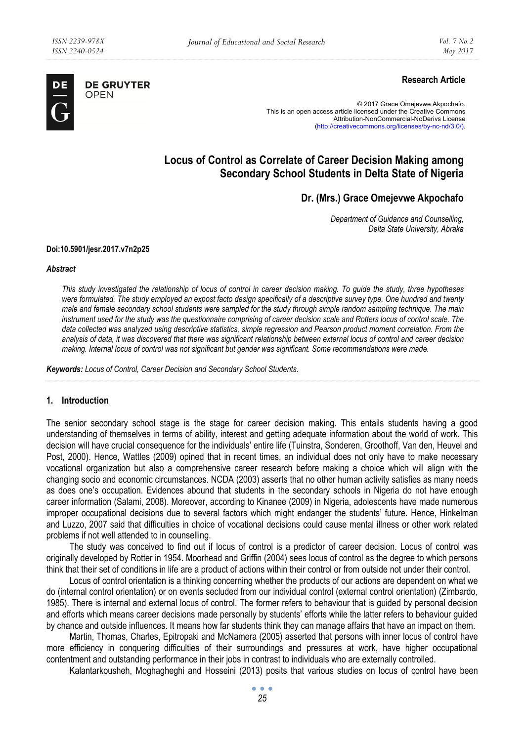

**DE GRUYTER** OPEN

# **Research Article**

© 2017 Grace Omejevwe Akpochafo. This is an open access article licensed under the Creative Commons Attribution-NonCommercial-NoDerivs License (http://creativecommons.org/licenses/by-nc-nd/3.0/).

# **Locus of Control as Correlate of Career Decision Making among Secondary School Students in Delta State of Nigeria**

# **Dr. (Mrs.) Grace Omejevwe Akpochafo**

*Department of Guidance and Counselling, Delta State University, Abraka* 

#### **Doi:10.5901/jesr.2017.v7n2p25**

#### *Abstract*

*This study investigated the relationship of locus of control in career decision making. To guide the study, three hypotheses were formulated. The study employed an expost facto design specifically of a descriptive survey type. One hundred and twenty male and female secondary school students were sampled for the study through simple random sampling technique. The main instrument used for the study was the questionnaire comprising of career decision scale and Rotters locus of control scale. The* data collected was analyzed using descriptive statistics, simple regression and Pearson product moment correlation. From the *analysis of data, it was discovered that there was significant relationship between external locus of control and career decision making. Internal locus of control was not significant but gender was significant. Some recommendations were made.* 

*Keywords: Locus of Control, Career Decision and Secondary School Students.* 

### **1. Introduction**

The senior secondary school stage is the stage for career decision making. This entails students having a good understanding of themselves in terms of ability, interest and getting adequate information about the world of work. This decision will have crucial consequence for the individuals' entire life (Tuinstra, Sonderen, Groothoff, Van den, Heuvel and Post, 2000). Hence, Wattles (2009) opined that in recent times, an individual does not only have to make necessary vocational organization but also a comprehensive career research before making a choice which will align with the changing socio and economic circumstances. NCDA (2003) asserts that no other human activity satisfies as many needs as does one's occupation. Evidences abound that students in the secondary schools in Nigeria do not have enough career information (Salami, 2008). Moreover, according to Kinanee (2009) in Nigeria, adolescents have made numerous improper occupational decisions due to several factors which might endanger the students' future. Hence, Hinkelman and Luzzo, 2007 said that difficulties in choice of vocational decisions could cause mental illness or other work related problems if not well attended to in counselling.

The study was conceived to find out if locus of control is a predictor of career decision. Locus of control was originally developed by Rotter in 1954. Moorhead and Griffin (2004) sees locus of control as the degree to which persons think that their set of conditions in life are a product of actions within their control or from outside not under their control.

Locus of control orientation is a thinking concerning whether the products of our actions are dependent on what we do (internal control orientation) or on events secluded from our individual control (external control orientation) (Zimbardo, 1985). There is internal and external locus of control. The former refers to behaviour that is guided by personal decision and efforts which means career decisions made personally by students' efforts while the latter refers to behaviour guided by chance and outside influences. It means how far students think they can manage affairs that have an impact on them.

Martin, Thomas, Charles, Epitropaki and McNamera (2005) asserted that persons with inner locus of control have more efficiency in conquering difficulties of their surroundings and pressures at work, have higher occupational contentment and outstanding performance in their jobs in contrast to individuals who are externally controlled.

Kalantarkousheh, Moghagheghi and Hosseini (2013) posits that various studies on locus of control have been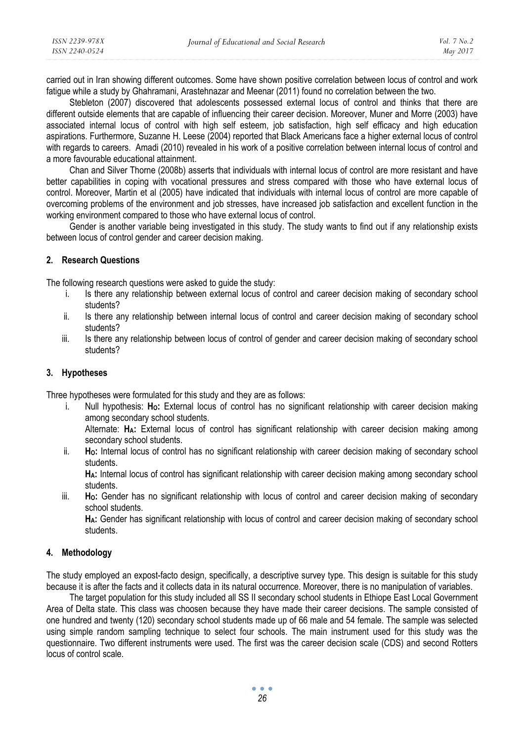carried out in Iran showing different outcomes. Some have shown positive correlation between locus of control and work fatigue while a study by Ghahramani, Arastehnazar and Meenar (2011) found no correlation between the two.

Stebleton (2007) discovered that adolescents possessed external locus of control and thinks that there are different outside elements that are capable of influencing their career decision. Moreover, Muner and Morre (2003) have associated internal locus of control with high self esteem, job satisfaction, high self efficacy and high education aspirations. Furthermore, Suzanne H. Leese (2004) reported that Black Americans face a higher external locus of control with regards to careers. Amadi (2010) revealed in his work of a positive correlation between internal locus of control and a more favourable educational attainment.

Chan and Silver Thorne (2008b) asserts that individuals with internal locus of control are more resistant and have better capabilities in coping with vocational pressures and stress compared with those who have external locus of control. Moreover, Martin et al (2005) have indicated that individuals with internal locus of control are more capable of overcoming problems of the environment and job stresses, have increased job satisfaction and excellent function in the working environment compared to those who have external locus of control.

Gender is another variable being investigated in this study. The study wants to find out if any relationship exists between locus of control gender and career decision making.

### **2. Research Questions**

The following research questions were asked to guide the study:

- i. Is there any relationship between external locus of control and career decision making of secondary school students?
- ii. Is there any relationship between internal locus of control and career decision making of secondary school students?
- iii. Is there any relationship between locus of control of gender and career decision making of secondary school students?

#### **3. Hypotheses**

Three hypotheses were formulated for this study and they are as follows:

- i. Null hypothesis: Ho: External locus of control has no significant relationship with career decision making among secondary school students. Alternate: **HA:** External locus of control has significant relationship with career decision making among secondary school students.
- ii. **HO:** Internal locus of control has no significant relationship with career decision making of secondary school students.

**HA:** Internal locus of control has significant relationship with career decision making among secondary school students.

iii. **HO:** Gender has no significant relationship with locus of control and career decision making of secondary school students.

**HA:** Gender has significant relationship with locus of control and career decision making of secondary school students.

### **4. Methodology**

The study employed an expost-facto design, specifically, a descriptive survey type. This design is suitable for this study because it is after the facts and it collects data in its natural occurrence. Moreover, there is no manipulation of variables.

The target population for this study included all SS II secondary school students in Ethiope East Local Government Area of Delta state. This class was choosen because they have made their career decisions. The sample consisted of one hundred and twenty (120) secondary school students made up of 66 male and 54 female. The sample was selected using simple random sampling technique to select four schools. The main instrument used for this study was the questionnaire. Two different instruments were used. The first was the career decision scale (CDS) and second Rotters locus of control scale.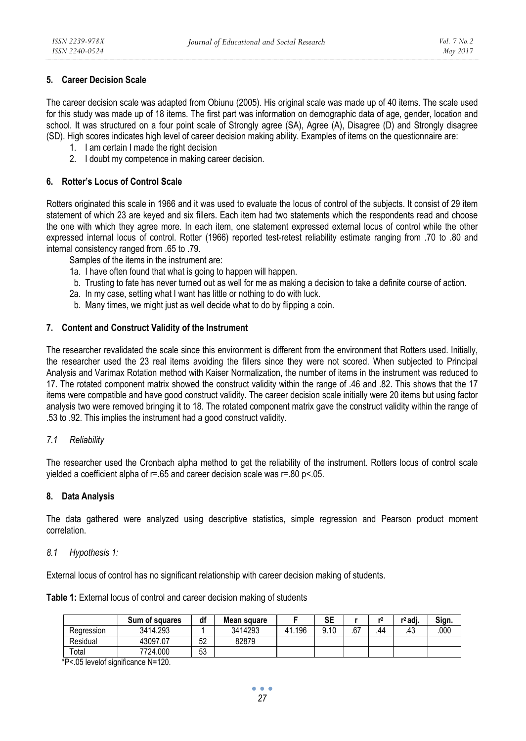## **5. Career Decision Scale**

The career decision scale was adapted from Obiunu (2005). His original scale was made up of 40 items. The scale used for this study was made up of 18 items. The first part was information on demographic data of age, gender, location and school. It was structured on a four point scale of Strongly agree (SA), Agree (A), Disagree (D) and Strongly disagree (SD). High scores indicates high level of career decision making ability. Examples of items on the questionnaire are:

- 1. I am certain I made the right decision
- 2. I doubt my competence in making career decision.

### **6. Rotter's Locus of Control Scale**

Rotters originated this scale in 1966 and it was used to evaluate the locus of control of the subjects. It consist of 29 item statement of which 23 are keyed and six fillers. Each item had two statements which the respondents read and choose the one with which they agree more. In each item, one statement expressed external locus of control while the other expressed internal locus of control. Rotter (1966) reported test-retest reliability estimate ranging from .70 to .80 and internal consistency ranged from .65 to .79.

Samples of the items in the instrument are:

- 1a. I have often found that what is going to happen will happen.
- b. Trusting to fate has never turned out as well for me as making a decision to take a definite course of action.
- 2a. In my case, setting what I want has little or nothing to do with luck.
- b. Many times, we might just as well decide what to do by flipping a coin.

### **7. Content and Construct Validity of the Instrument**

The researcher revalidated the scale since this environment is different from the environment that Rotters used. Initially, the researcher used the 23 real items avoiding the fillers since they were not scored. When subjected to Principal Analysis and Varimax Rotation method with Kaiser Normalization, the number of items in the instrument was reduced to 17. The rotated component matrix showed the construct validity within the range of .46 and .82. This shows that the 17 items were compatible and have good construct validity. The career decision scale initially were 20 items but using factor analysis two were removed bringing it to 18. The rotated component matrix gave the construct validity within the range of .53 to .92. This implies the instrument had a good construct validity.

### *7.1 Reliability*

The researcher used the Cronbach alpha method to get the reliability of the instrument. Rotters locus of control scale yielded a coefficient alpha of r=.65 and career decision scale was r=.80 p<.05.

### **8. Data Analysis**

The data gathered were analyzed using descriptive statistics, simple regression and Pearson product moment correlation.

### *8.1 Hypothesis 1:*

External locus of control has no significant relationship with career decision making of students.

|            | Sum of squares | df       | Mean square |     | SE   |     |    | r <sup>2</sup> adi. | Sian. |
|------------|----------------|----------|-------------|-----|------|-----|----|---------------------|-------|
| Regression | 3414.293       |          | 3414293     | 196 | 9.10 | .67 | 44 | .43                 | .000  |
| Residual   | 43097.07       | らつ<br>ےں | 82879       |     |      |     |    |                     |       |

Table 1: External locus of control and career decision making of students

Total 7724.000 53 \*P<.05 levelof significance N=120.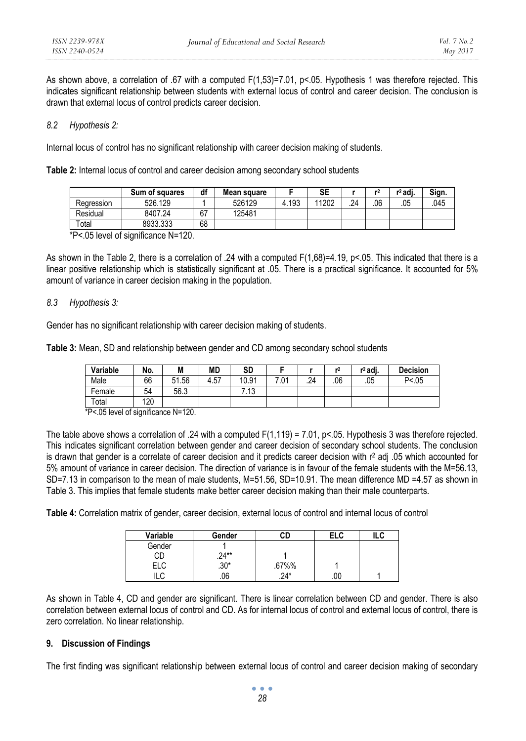As shown above, a correlation of .67 with a computed F(1,53)=7.01, p<.05. Hypothesis 1 was therefore rejected. This indicates significant relationship between students with external locus of control and career decision. The conclusion is drawn that external locus of control predicts career decision.

### *8.2 Hypothesis 2:*

Internal locus of control has no significant relationship with career decision making of students.

**Table 2:** Internal locus of control and career decision among secondary school students

|            | Sum of squares | df | Mean square |       | SE    |    | r   | r <sup>2</sup> adi. | Sign. |
|------------|----------------|----|-------------|-------|-------|----|-----|---------------------|-------|
| Rearession | 526.129        |    | 526129      | 4.193 | 11202 | 24 | .06 | .05                 | .045  |
| Residual   | 8407.24        | 67 | 125481      |       |       |    |     |                     |       |
| Total      | 8933.333       | 68 |             |       |       |    |     |                     |       |

\*P<.05 level of significance N=120.

As shown in the Table 2, there is a correlation of .24 with a computed  $F(1,68)=4.19$ , p<.05. This indicated that there is a linear positive relationship which is statistically significant at .05. There is a practical significance. It accounted for 5% amount of variance in career decision making in the population.

### *8.3 Hypothesis 3:*

Gender has no significant relationship with career decision making of students.

**Table 3:** Mean, SD and relationship between gender and CD among secondary school students

| Variable | No. | M     | MD   | SD    |               |     | ۳Z  | $r^2$ adj. | <b>Decision</b> |
|----------|-----|-------|------|-------|---------------|-----|-----|------------|-----------------|
| Male     | 66  | 51.56 | 4.57 | 10.91 | $^{\circ}.01$ | .24 | .06 | .05        | P < 0.05        |
| Female   | 54  | 56.3  |      | $-13$ |               |     |     |            |                 |
| Total    | 120 |       |      |       |               |     |     |            |                 |

\*P<.05 level of significance N=120.

The table above shows a correlation of .24 with a computed  $F(1,119) = 7.01$ ,  $p < 0.05$ . Hypothesis 3 was therefore rejected. This indicates significant correlation between gender and career decision of secondary school students. The conclusion is drawn that gender is a correlate of career decision and it predicts career decision with  $r<sup>2</sup>$  adj .05 which accounted for 5% amount of variance in career decision. The direction of variance is in favour of the female students with the M=56.13, SD=7.13 in comparison to the mean of male students, M=51.56, SD=10.91. The mean difference MD =4.57 as shown in Table 3. This implies that female students make better career decision making than their male counterparts.

**Table 4:** Correlation matrix of gender, career decision, external locus of control and internal locus of control

| Variable   | Gender   | СD     | ELC | ILC |
|------------|----------|--------|-----|-----|
| Gender     |          |        |     |     |
| <b>CD</b>  | $.24***$ |        |     |     |
| ELC        | $.30*$   | .67%%  |     |     |
| י וו<br>י∟ | .06      | $.24*$ | .00 |     |

As shown in Table 4, CD and gender are significant. There is linear correlation between CD and gender. There is also correlation between external locus of control and CD. As for internal locus of control and external locus of control, there is zero correlation. No linear relationship.

### **9. Discussion of Findings**

The first finding was significant relationship between external locus of control and career decision making of secondary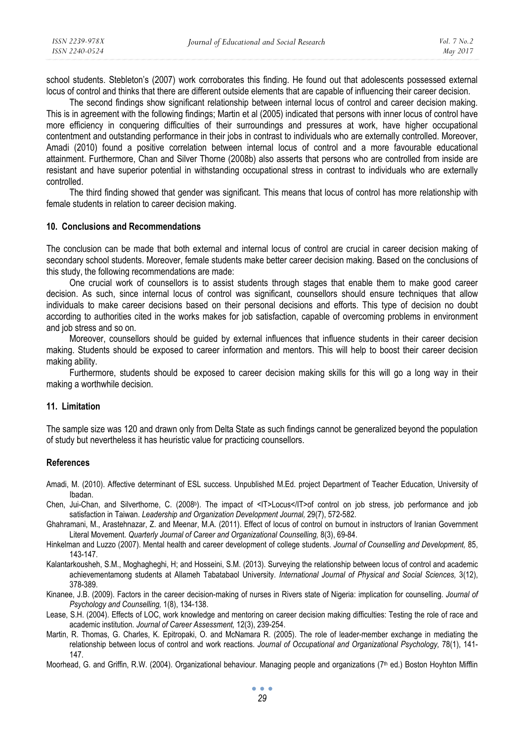school students. Stebleton's (2007) work corroborates this finding. He found out that adolescents possessed external locus of control and thinks that there are different outside elements that are capable of influencing their career decision.

The second findings show significant relationship between internal locus of control and career decision making. This is in agreement with the following findings; Martin et al (2005) indicated that persons with inner locus of control have more efficiency in conquering difficulties of their surroundings and pressures at work, have higher occupational contentment and outstanding performance in their jobs in contrast to individuals who are externally controlled. Moreover, Amadi (2010) found a positive correlation between internal locus of control and a more favourable educational attainment. Furthermore, Chan and Silver Thorne (2008b) also asserts that persons who are controlled from inside are resistant and have superior potential in withstanding occupational stress in contrast to individuals who are externally controlled.

The third finding showed that gender was significant. This means that locus of control has more relationship with female students in relation to career decision making.

#### **10. Conclusions and Recommendations**

The conclusion can be made that both external and internal locus of control are crucial in career decision making of secondary school students. Moreover, female students make better career decision making. Based on the conclusions of this study, the following recommendations are made:

One crucial work of counsellors is to assist students through stages that enable them to make good career decision. As such, since internal locus of control was significant, counsellors should ensure techniques that allow individuals to make career decisions based on their personal decisions and efforts. This type of decision no doubt according to authorities cited in the works makes for job satisfaction, capable of overcoming problems in environment and job stress and so on.

Moreover, counsellors should be guided by external influences that influence students in their career decision making. Students should be exposed to career information and mentors. This will help to boost their career decision making ability.

Furthermore, students should be exposed to career decision making skills for this will go a long way in their making a worthwhile decision.

#### **11. Limitation**

The sample size was 120 and drawn only from Delta State as such findings cannot be generalized beyond the population of study but nevertheless it has heuristic value for practicing counsellors.

#### **References**

- Amadi, M. (2010). Affective determinant of ESL success. Unpublished M.Ed. project Department of Teacher Education, University of Ibadan.
- Chen, Jui-Chan, and Silverthorne, C. (2008b). The impact of <IT>Locus</IT>of control on job stress, job performance and job satisfaction in Taiwan. *Leadership and Organization Development Journal,* 29(7), 572-582.
- Ghahramani, M., Arastehnazar, Z. and Meenar, M.A. (2011). Effect of locus of control on burnout in instructors of Iranian Government Literal Movement. *Quarterly Journal of Career and Organizational Counselling,* 8(3), 69-84.
- Hinkelman and Luzzo (2007). Mental health and career development of college students. *Journal of Counselling and Development,* 85, 143-147.
- Kalantarkousheh, S.M., Moghagheghi, H; and Hosseini, S.M. (2013). Surveying the relationship between locus of control and academic achievementamong students at Allameh Tabatabaol University. *International Journal of Physical and Social Sciences,* 3(12), 378-389.
- Kinanee, J.B. (2009). Factors in the career decision-making of nurses in Rivers state of Nigeria: implication for counselling. *Journal of Psychology and Counselling,* 1(8), 134-138.
- Lease, S.H. (2004). Effects of LOC, work knowledge and mentoring on career decision making difficulties: Testing the role of race and academic institution. *Journal of Career Assessment,* 12(3), 239-254.
- Martin, R. Thomas, G. Charles, K. Epitropaki, O. and McNamara R. (2005). The role of leader-member exchange in mediating the relationship between locus of control and work reactions. *Journal of Occupational and Organizational Psychology,* 78(1), 141- 147.
- Moorhead, G. and Griffin, R.W. (2004). Organizational behaviour. Managing people and organizations (7<sup>th</sup> ed.) Boston Hoyhton Mifflin